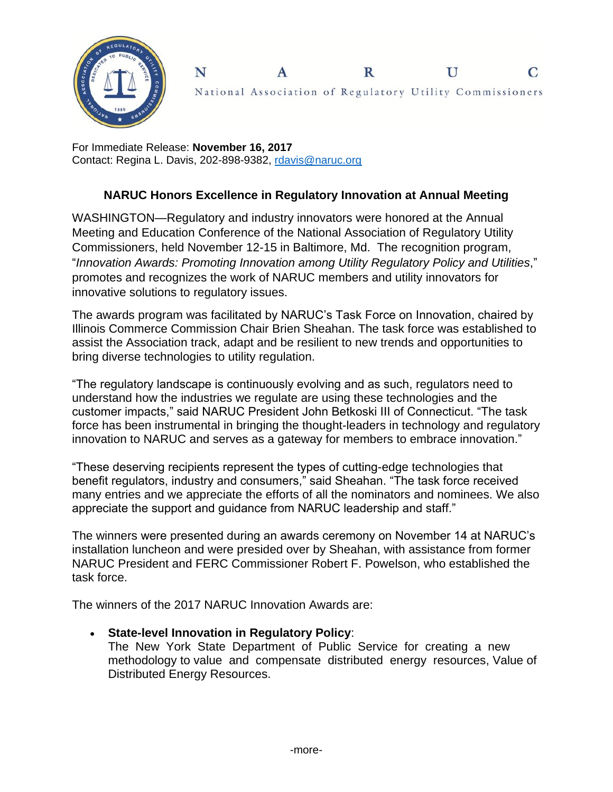

National Association of Regulatory Utility Commissioners

 $\mathbf R$ 

U

 $\overline{C}$ 

For Immediate Release: **November 16, 2017** Contact: Regina L. Davis, 202-898-9382, [rdavis@naruc.org](mailto:rdavis@naruc.org)

N

## **NARUC Honors Excellence in Regulatory Innovation at Annual Meeting**

 $\mathbf{A}$ 

WASHINGTON—Regulatory and industry innovators were honored at the Annual Meeting and Education Conference of the National Association of Regulatory Utility Commissioners, held November 12-15 in Baltimore, Md. The recognition program, "*Innovation Awards: Promoting Innovation among Utility Regulatory Policy and Utilities*," promotes and recognizes the work of NARUC members and utility innovators for innovative solutions to regulatory issues.

The awards program was facilitated by NARUC's Task Force on Innovation, chaired by Illinois Commerce Commission Chair Brien Sheahan. The task force was established to assist the Association track, adapt and be resilient to new trends and opportunities to bring diverse technologies to utility regulation.

"The regulatory landscape is continuously evolving and as such, regulators need to understand how the industries we regulate are using these technologies and the customer impacts," said NARUC President John Betkoski III of Connecticut. "The task force has been instrumental in bringing the thought-leaders in technology and regulatory innovation to NARUC and serves as a gateway for members to embrace innovation."

"These deserving recipients represent the types of cutting-edge technologies that benefit regulators, industry and consumers," said Sheahan. "The task force received many entries and we appreciate the efforts of all the nominators and nominees. We also appreciate the support and guidance from NARUC leadership and staff."

The winners were presented during an awards ceremony on November 14 at NARUC's installation luncheon and were presided over by Sheahan, with assistance from former NARUC President and FERC Commissioner Robert F. Powelson, who established the task force.

The winners of the 2017 NARUC Innovation Awards are:

## **State-level Innovation in Regulatory Policy**:

The New York State Department of Public Service for creating a new methodology to value and compensate distributed energy resources, Value of Distributed Energy Resources.